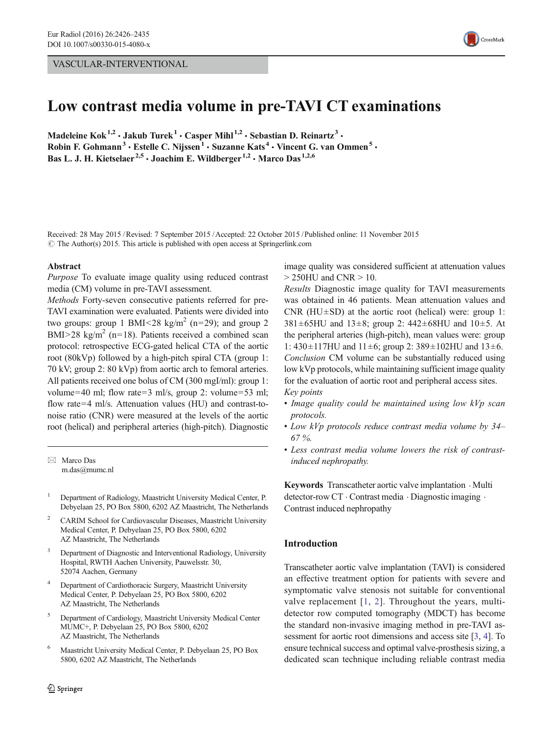# VASCULAR-INTERVENTIONAL



# Low contrast media volume in pre-TAVI CT examinations

Madeleine Kok<sup>1,2</sup> · Jakub Turek<sup>1</sup> · Casper Mihl<sup>1,2</sup> · Sebastian D. Reinartz<sup>3</sup> · Robin F. Gohmann<sup>3</sup> · Estelle C. Nijssen<sup>1</sup> · Suzanne Kats<sup>4</sup> · Vincent G. van Ommen<sup>5</sup> · Bas L. J. H. Kietselaer<sup>2,5</sup> · Joachim E. Wildberger<sup>1,2</sup> · Marco Das<sup>1,2,6</sup>

Received: 28 May 2015 /Revised: 7 September 2015 /Accepted: 22 October 2015 /Published online: 11 November 2015  $\odot$  The Author(s) 2015. This article is published with open access at Springerlink.com

#### Abstract

Purpose To evaluate image quality using reduced contrast media (CM) volume in pre-TAVI assessment.

Methods Forty-seven consecutive patients referred for pre-TAVI examination were evaluated. Patients were divided into two groups: group 1 BMI<28 kg/m<sup>2</sup> (n=29); and group 2  $BMI > 28$  kg/m<sup>2</sup> (n=18). Patients received a combined scan protocol: retrospective ECG-gated helical CTA of the aortic root (80kVp) followed by a high-pitch spiral CTA (group 1: 70 kV; group 2: 80 kVp) from aortic arch to femoral arteries. All patients received one bolus of CM (300 mgI/ml): group 1: volume=40 ml; flow rate=3 ml/s, group 2: volume=53 ml; flow rate=4 ml/s. Attenuation values (HU) and contrast-tonoise ratio (CNR) were measured at the levels of the aortic root (helical) and peripheral arteries (high-pitch). Diagnostic

 $\boxtimes$  Marco Das m.das@mumc.nl

- <sup>1</sup> Department of Radiology, Maastricht University Medical Center, P. Debyelaan 25, PO Box 5800, 6202 AZ Maastricht, The Netherlands
- <sup>2</sup> CARIM School for Cardiovascular Diseases, Maastricht University Medical Center, P. Debyelaan 25, PO Box 5800, 6202 AZ Maastricht, The Netherlands
- <sup>3</sup> Department of Diagnostic and Interventional Radiology, University Hospital, RWTH Aachen University, Pauwelsstr. 30, 52074 Aachen, Germany
- Department of Cardiothoracic Surgery, Maastricht University Medical Center, P. Debyelaan 25, PO Box 5800, 6202 AZ Maastricht, The Netherlands
- <sup>5</sup> Department of Cardiology, Maastricht University Medical Center MUMC+, P. Debyelaan 25, PO Box 5800, 6202 AZ Maastricht, The Netherlands
- <sup>6</sup> Maastricht University Medical Center, P. Debyelaan 25, PO Box 5800, 6202 AZ Maastricht, The Netherlands

image quality was considered sufficient at attenuation values > 250HU and CNR > 10.

Results Diagnostic image quality for TAVI measurements was obtained in 46 patients. Mean attenuation values and CNR (HU $\pm$ SD) at the aortic root (helical) were: group 1: 381 $\pm$ 65HU and 13 $\pm$ 8; group 2: 442 $\pm$ 68HU and 10 $\pm$ 5. At the peripheral arteries (high-pitch), mean values were: group 1:  $430 \pm 117$  HU and  $11 \pm 6$ ; group 2:  $389 \pm 102$  HU and  $13 \pm 6$ . Conclusion CM volume can be substantially reduced using low kVp protocols, while maintaining sufficient image quality for the evaluation of aortic root and peripheral access sites. Key points

- Image quality could be maintained using low kVp scan protocols.
- Low kVp protocols reduce contrast media volume by 34– 67 %.
- Less contrast media volume lowers the risk of contrastinduced nephropathy.

Keywords Transcatheter aortic valve implantation . Multi detector-row CT . Contrast media . Diagnostic imaging . Contrast induced nephropathy

# Introduction

Transcatheter aortic valve implantation (TAVI) is considered an effective treatment option for patients with severe and symptomatic valve stenosis not suitable for conventional valve replacement [[1,](#page-8-0) [2\]](#page-8-0). Throughout the years, multidetector row computed tomography (MDCT) has become the standard non-invasive imaging method in pre-TAVI assessment for aortic root dimensions and access site [[3,](#page-8-0) [4\]](#page-8-0). To ensure technical success and optimal valve-prosthesis sizing, a dedicated scan technique including reliable contrast media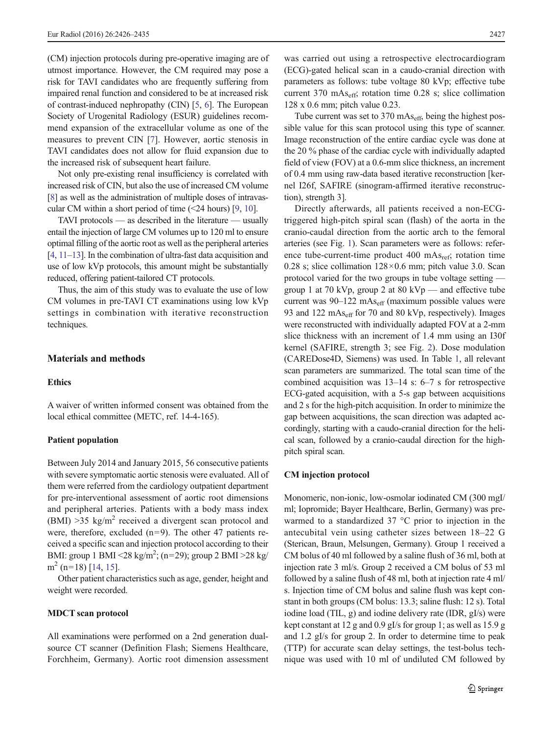(CM) injection protocols during pre-operative imaging are of utmost importance. However, the CM required may pose a risk for TAVI candidates who are frequently suffering from impaired renal function and considered to be at increased risk of contrast-induced nephropathy (CIN) [\[5,](#page-8-0) [6](#page-8-0)]. The European Society of Urogenital Radiology (ESUR) guidelines recommend expansion of the extracellular volume as one of the measures to prevent CIN [[7\]](#page-8-0). However, aortic stenosis in TAVI candidates does not allow for fluid expansion due to the increased risk of subsequent heart failure.

Not only pre-existing renal insufficiency is correlated with increased risk of CIN, but also the use of increased CM volume [\[8\]](#page-8-0) as well as the administration of multiple doses of intravascular CM within a short period of time  $(\leq 24$  hours) [\[9,](#page-8-0) [10\]](#page-8-0).

TAVI protocols — as described in the literature — usually entail the injection of large CM volumes up to 120 ml to ensure optimal filling of the aortic root as well as the peripheral arteries [\[4,](#page-8-0) [11](#page-8-0)–[13](#page-8-0)]. In the combination of ultra-fast data acquisition and use of low kVp protocols, this amount might be substantially reduced, offering patient-tailored CT protocols.

Thus, the aim of this study was to evaluate the use of low CM volumes in pre-TAVI CT examinations using low kVp settings in combination with iterative reconstruction techniques.

# Materials and methods

#### **Ethics**

A waiver of written informed consent was obtained from the local ethical committee (METC, ref. 14-4-165).

## Patient population

Between July 2014 and January 2015, 56 consecutive patients with severe symptomatic aortic stenosis were evaluated. All of them were referred from the cardiology outpatient department for pre-interventional assessment of aortic root dimensions and peripheral arteries. Patients with a body mass index (BMI)  $>35$  kg/m<sup>2</sup> received a divergent scan protocol and were, therefore, excluded  $(n=9)$ . The other 47 patients received a specific scan and injection protocol according to their BMI: group 1 BMI <28 kg/m<sup>2</sup>; (n=29); group 2 BMI >28 kg/  $m<sup>2</sup>$  (n=18) [[14,](#page-9-0) [15\]](#page-9-0).

Other patient characteristics such as age, gender, height and weight were recorded.

#### MDCT scan protocol

All examinations were performed on a 2nd generation dualsource CT scanner (Definition Flash; Siemens Healthcare, Forchheim, Germany). Aortic root dimension assessment was carried out using a retrospective electrocardiogram (ECG)-gated helical scan in a caudo-cranial direction with parameters as follows: tube voltage 80 kVp; effective tube current 370 mAseff; rotation time 0.28 s; slice collimation 128 x 0.6 mm; pitch value 0.23.

Tube current was set to 370 mAs<sub>eff</sub>, being the highest possible value for this scan protocol using this type of scanner. Image reconstruction of the entire cardiac cycle was done at the 20 % phase of the cardiac cycle with individually adapted field of view (FOV) at a 0.6-mm slice thickness, an increment of 0.4 mm using raw-data based iterative reconstruction [kernel I26f, SAFIRE (sinogram-affirmed iterative reconstruction), strength 3].

Directly afterwards, all patients received a non-ECGtriggered high-pitch spiral scan (flash) of the aorta in the cranio-caudal direction from the aortic arch to the femoral arteries (see Fig. [1](#page-2-0)). Scan parameters were as follows: reference tube-current-time product  $400 \text{ mAs}_{\text{ref}}$ ; rotation time 0.28 s; slice collimation  $128 \times 0.6$  mm; pitch value 3.0. Scan protocol varied for the two groups in tube voltage setting group 1 at 70 kVp, group 2 at 80 kVp — and effective tube current was  $90-122 \text{ mA}_{\text{eff}}$  (maximum possible values were 93 and 122 mAs<sub>eff</sub> for 70 and 80 kVp, respectively). Images were reconstructed with individually adapted FOV at a 2-mm slice thickness with an increment of 1.4 mm using an I30f kernel (SAFIRE, strength 3; see Fig. [2\)](#page-2-0). Dose modulation (CAREDose4D, Siemens) was used. In Table [1,](#page-3-0) all relevant scan parameters are summarized. The total scan time of the combined acquisition was 13–14 s: 6–7 s for retrospective ECG-gated acquisition, with a 5-s gap between acquisitions and 2 s for the high-pitch acquisition. In order to minimize the gap between acquisitions, the scan direction was adapted accordingly, starting with a caudo-cranial direction for the helical scan, followed by a cranio-caudal direction for the highpitch spiral scan.

## CM injection protocol

Monomeric, non-ionic, low-osmolar iodinated CM (300 mgI/ ml; Iopromide; Bayer Healthcare, Berlin, Germany) was prewarmed to a standardized 37 °C prior to injection in the antecubital vein using catheter sizes between 18–22 G (Sterican, Braun, Melsungen, Germany). Group 1 received a CM bolus of 40 ml followed by a saline flush of 36 ml, both at injection rate 3 ml/s. Group 2 received a CM bolus of 53 ml followed by a saline flush of 48 ml, both at injection rate 4 ml/ s. Injection time of CM bolus and saline flush was kept constant in both groups (CM bolus: 13.3; saline flush: 12 s). Total iodine load (TIL, g) and iodine delivery rate (IDR, gI/s) were kept constant at 12 g and 0.9 gI/s for group 1; as well as 15.9 g and 1.2 gI/s for group 2. In order to determine time to peak (TTP) for accurate scan delay settings, the test-bolus technique was used with 10 ml of undiluted CM followed by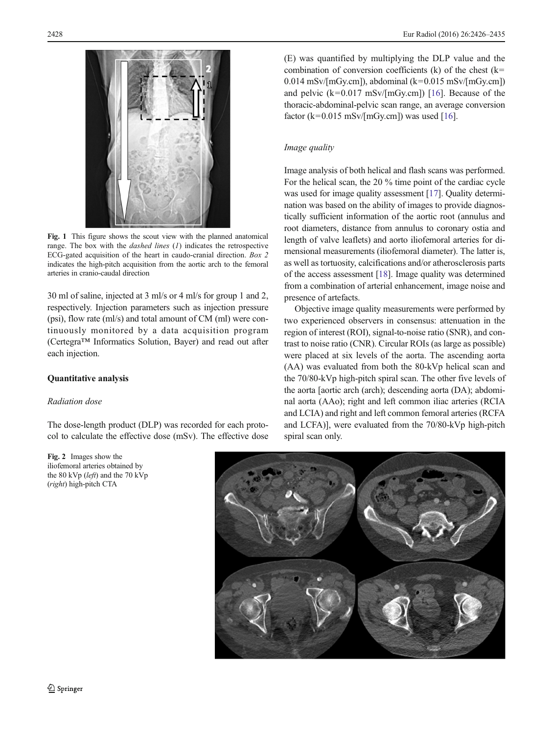<span id="page-2-0"></span>

Fig. 1 This figure shows the scout view with the planned anatomical range. The box with the *dashed lines*  $(I)$  indicates the retrospective ECG-gated acquisition of the heart in caudo-cranial direction. Box 2 indicates the high-pitch acquisition from the aortic arch to the femoral arteries in cranio-caudal direction

30 ml of saline, injected at 3 ml/s or 4 ml/s for group 1 and 2, respectively. Injection parameters such as injection pressure (psi), flow rate (ml/s) and total amount of CM (ml) were continuously monitored by a data acquisition program (Certegra™ Informatics Solution, Bayer) and read out after each injection.

## Quantitative analysis

## Radiation dose

The dose-length product (DLP) was recorded for each protocol to calculate the effective dose (mSv). The effective dose

Fig. 2 Images show the iliofemoral arteries obtained by the 80 kVp (left) and the 70 kVp (right) high-pitch CTA

(E) was quantified by multiplying the DLP value and the combination of conversion coefficients (k) of the chest (k=  $0.014$  mSv/[mGy.cm]), abdominal (k=0.015 mSv/[mGy.cm]) and pelvic  $(k=0.017 \text{ mSv/[mGy.cm]})$  [\[16](#page-9-0)]. Because of the thoracic-abdominal-pelvic scan range, an average conversion factor ( $k=0.015$  mSv/[mGy.cm]) was used [\[16\]](#page-9-0).

#### Image quality

Image analysis of both helical and flash scans was performed. For the helical scan, the 20 % time point of the cardiac cycle was used for image quality assessment [\[17](#page-9-0)]. Quality determination was based on the ability of images to provide diagnostically sufficient information of the aortic root (annulus and root diameters, distance from annulus to coronary ostia and length of valve leaflets) and aorto iliofemoral arteries for dimensional measurements (iliofemoral diameter). The latter is, as well as tortuosity, calcifications and/or atherosclerosis parts of the access assessment [\[18\]](#page-9-0). Image quality was determined from a combination of arterial enhancement, image noise and presence of artefacts.

Objective image quality measurements were performed by two experienced observers in consensus: attenuation in the region of interest (ROI), signal-to-noise ratio (SNR), and contrast to noise ratio (CNR). Circular ROIs (as large as possible) were placed at six levels of the aorta. The ascending aorta (AA) was evaluated from both the 80-kVp helical scan and the 70/80-kVp high-pitch spiral scan. The other five levels of the aorta [aortic arch (arch); descending aorta (DA); abdominal aorta (AAo); right and left common iliac arteries (RCIA and LCIA) and right and left common femoral arteries (RCFA and LCFA)], were evaluated from the 70/80-kVp high-pitch spiral scan only.

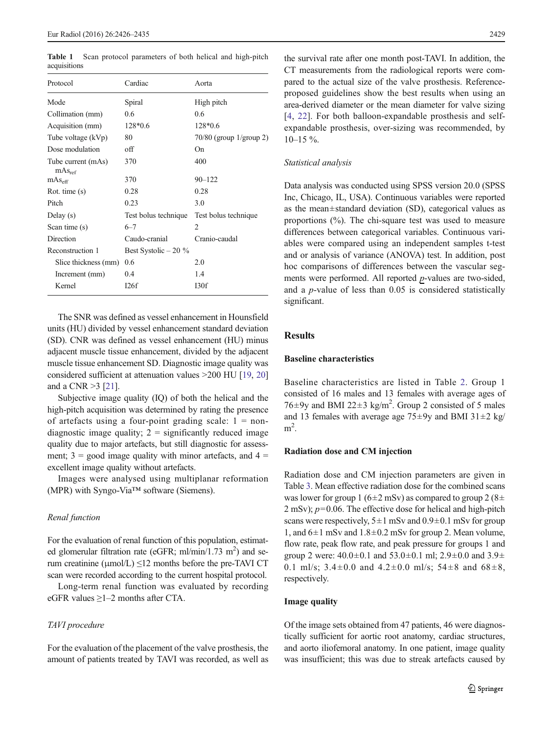<span id="page-3-0"></span>Table 1 Scan protocol parameters of both helical and high-pitch acquisitions

| Protocol                                       | Cardiac               | Aorta                                |
|------------------------------------------------|-----------------------|--------------------------------------|
| Mode                                           | Spiral                | High pitch                           |
| Collimation (mm)                               | 0.6                   | 0.6                                  |
| Acquisition (mm)                               | $128*0.6$             | $128*0.6$                            |
| Tube voltage (kVp)                             | 80                    | $70/80$ (group $1/\text{group } 2$ ) |
| Dose modulation                                | $\alpha$ ff           | On                                   |
| Tube current (mAs)<br>$\rm mA$ <sub>Sref</sub> | 370                   | 400                                  |
| $\rm mA_{\rm 8eff}$                            | 370                   | $90 - 122$                           |
| Rot. time $(s)$                                | 0.28                  | 0.28                                 |
| Pitch                                          | 0.23                  | 3.0                                  |
| Delay $(s)$                                    | Test bolus technique  | Test bolus technique                 |
| Scan time (s)                                  | $6 - 7$               | 2                                    |
| Direction                                      | Caudo-cranial         | Cranio-caudal                        |
| Reconstruction 1                               | Best Systolic $-20\%$ |                                      |
| Slice thickness (mm)                           | 0.6                   | 2.0                                  |
| Increment (mm)                                 | 0.4                   | 1.4                                  |
| Kernel                                         | 126f                  | 130f                                 |

The SNR was defined as vessel enhancement in Hounsfield units (HU) divided by vessel enhancement standard deviation (SD). CNR was defined as vessel enhancement (HU) minus adjacent muscle tissue enhancement, divided by the adjacent muscle tissue enhancement SD. Diagnostic image quality was considered sufficient at attenuation values >200 HU [\[19,](#page-9-0) [20\]](#page-9-0) and a CNR >3 [[21\]](#page-9-0).

Subjective image quality (IQ) of both the helical and the high-pitch acquisition was determined by rating the presence of artefacts using a four-point grading scale:  $1 = \text{non-}$ diagnostic image quality;  $2 =$  significantly reduced image quality due to major artefacts, but still diagnostic for assessment;  $3 = \text{good image quality with minor artefacts, and } 4 =$ excellent image quality without artefacts.

Images were analysed using multiplanar reformation (MPR) with Syngo-Via™ software (Siemens).

#### Renal function

For the evaluation of renal function of this population, estimated glomerular filtration rate (eGFR; ml/min/1.73 m<sup>2</sup>) and serum creatinine ( $\mu$ mol/L)  $\leq$ 12 months before the pre-TAVI CT scan were recorded according to the current hospital protocol.

Long-term renal function was evaluated by recording eGFR values ≥1–2 months after CTA.

#### TAVI procedure

For the evaluation of the placement of the valve prosthesis, the amount of patients treated by TAVI was recorded, as well as

the survival rate after one month post-TAVI. In addition, the CT measurements from the radiological reports were compared to the actual size of the valve prosthesis. Referenceproposed guidelines show the best results when using an area-derived diameter or the mean diameter for valve sizing [\[4,](#page-8-0) [22](#page-9-0)]. For both balloon-expandable prosthesis and selfexpandable prosthesis, over-sizing was recommended, by  $10-15\%$ .

#### Statistical analysis

Data analysis was conducted using SPSS version 20.0 (SPSS Inc, Chicago, IL, USA). Continuous variables were reported as the mean±standard deviation (SD), categorical values as proportions (%). The chi-square test was used to measure differences between categorical variables. Continuous variables were compared using an independent samples t-test and or analysis of variance (ANOVA) test. In addition, post hoc comparisons of differences between the vascular segments were performed. All reported  $p$ -values are two-sided, and a p-value of less than 0.05 is considered statistically significant.

# **Results**

# Baseline characteristics

Baseline characteristics are listed in Table [2](#page-4-0). Group 1 consisted of 16 males and 13 females with average ages of 76 $\pm$ 9y and BMI 22 $\pm$ 3 kg/m<sup>2</sup>. Group 2 consisted of 5 males and 13 females with average age  $75\pm9y$  and BMI  $31\pm2$  kg/  $m<sup>2</sup>$ .

#### Radiation dose and CM injection

Radiation dose and CM injection parameters are given in Table [3.](#page-4-0) Mean effective radiation dose for the combined scans was lower for group 1 ( $6\pm 2$  mSv) as compared to group 2 ( $8\pm$  $2 \text{ mSv}$ ;  $p=0.06$ . The effective dose for helical and high-pitch scans were respectively,  $5\pm1$  mSv and  $0.9\pm0.1$  mSv for group 1, and  $6\pm1$  mSv and  $1.8\pm0.2$  mSv for group 2. Mean volume, flow rate, peak flow rate, and peak pressure for groups 1 and group 2 were:  $40.0 \pm 0.1$  and  $53.0 \pm 0.1$  ml;  $2.9 \pm 0.0$  and  $3.9 \pm$ 0.1 ml/s;  $3.4 \pm 0.0$  and  $4.2 \pm 0.0$  ml/s;  $54 \pm 8$  and  $68 \pm 8$ , respectively.

#### Image quality

Of the image sets obtained from 47 patients, 46 were diagnostically sufficient for aortic root anatomy, cardiac structures, and aorto iliofemoral anatomy. In one patient, image quality was insufficient; this was due to streak artefacts caused by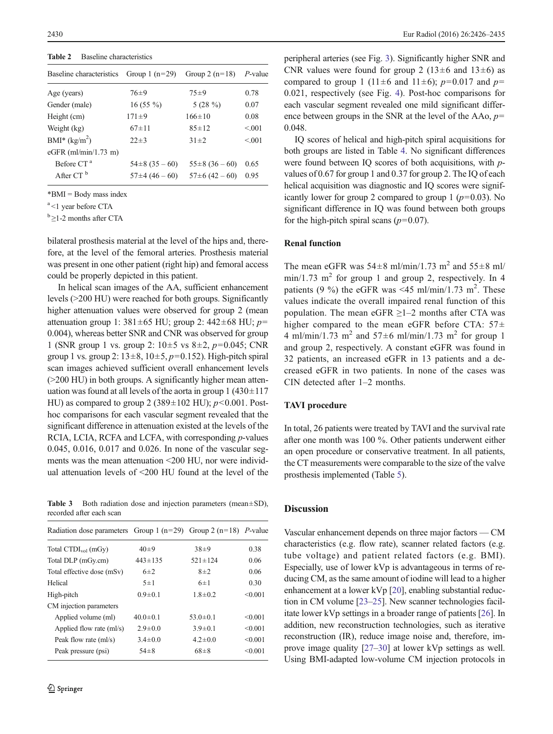<span id="page-4-0"></span>Table 2 Baseline characteristics

| Baseline characteristics | Group 1 $(n=29)$ | Group 2 $(n=18)$ | $P$ -value |
|--------------------------|------------------|------------------|------------|
| Age (years)              | $76 + 9$         | $75 + 9$         | 0.78       |
| Gender (male)            | $16(55\%)$       | 5 $(28\%)$       | 0.07       |
| Height (cm)              | $171 \pm 9$      | $166 \pm 10$     | 0.08       |
| Weight (kg)              | $67 + 11$        | $85 + 12$        | < 0.01     |
| $BMI^*(kg/m^2)$          | $22 \pm 3$       | $31 \pm 2$       | < 0.01     |
| eGFR $(ml/min/1.73 m)$   |                  |                  |            |
| Before CT <sup>a</sup>   | $54\pm8(35-60)$  | $55\pm8(36-60)$  | 0.65       |
| After $CTb$              | $57\pm4(46-60)$  | $57\pm 6(42-60)$ | 0.95       |
|                          |                  |                  |            |

\*BMI = Body mass index

<sup>a</sup> <1 year before CTA

 $b > 1-2$  months after CTA

bilateral prosthesis material at the level of the hips and, therefore, at the level of the femoral arteries. Prosthesis material was present in one other patient (right hip) and femoral access could be properly depicted in this patient.

In helical scan images of the AA, sufficient enhancement levels (>200 HU) were reached for both groups. Significantly higher attenuation values were observed for group 2 (mean attenuation group 1:  $381 \pm 65$  HU; group 2:  $442 \pm 68$  HU;  $p=$ 0.004), whereas better SNR and CNR was observed for group 1 (SNR group 1 vs. group 2:  $10\pm 5$  vs  $8\pm 2$ ,  $p=0.045$ ; CNR group 1 vs. group 2:  $13\pm 8$ ,  $10\pm 5$ ,  $p=0.152$ ). High-pitch spiral scan images achieved sufficient overall enhancement levels (>200 HU) in both groups. A significantly higher mean attenuation was found at all levels of the aorta in group  $1 (430 \pm 117)$ HU) as compared to group 2 (389 $\pm$ 102 HU); p<0.001. Posthoc comparisons for each vascular segment revealed that the significant difference in attenuation existed at the levels of the RCIA, LCIA, RCFA and LCFA, with corresponding *p*-values 0.045, 0.016, 0.017 and 0.026. In none of the vascular segments was the mean attenuation <200 HU, nor were individual attenuation levels of <200 HU found at the level of the

Table 3 Both radiation dose and injection parameters (mean $\pm$ SD), recorded after each scan

| Radiation dose parameters Group 1 ( $n=29$ ) Group 2 ( $n=18$ ) P-value |                |                |         |
|-------------------------------------------------------------------------|----------------|----------------|---------|
| Total $\text{CTDI}_{\text{vol}}$ (mGy)                                  | $40+9$         | $38+9$         | 0.38    |
| Total DLP (mGy.cm)                                                      | $443 \pm 135$  | $521 \pm 124$  | 0.06    |
| Total effective dose (mSv)                                              | $6+2$          | $8\pm2$        | 0.06    |
| Helical                                                                 | $5\pm1$        | $6\pm1$        | 0.30    |
| High-pitch                                                              | $0.9 \pm 0.1$  | $1.8 \pm 0.2$  | < 0.001 |
| CM injection parameters                                                 |                |                |         |
| Applied volume (ml)                                                     | $40.0 \pm 0.1$ | $53.0 \pm 0.1$ | < 0.001 |
| Applied flow rate (ml/s)                                                | $2.9 \pm 0.0$  | $3.9 \pm 0.1$  | < 0.001 |
| Peak flow rate (ml/s)                                                   | $3.4 \pm 0.0$  | $42 \pm 0.0$   | < 0.001 |
| Peak pressure (psi)                                                     | $54\pm8$       | $68\pm8$       | < 0.001 |

peripheral arteries (see Fig. [3\)](#page-5-0). Significantly higher SNR and CNR values were found for group 2 ( $13±6$  and  $13±6$ ) as compared to group 1 (11±6 and 11±6);  $p=0.017$  and  $p=$ 0.021, respectively (see Fig. [4\)](#page-5-0). Post-hoc comparisons for each vascular segment revealed one mild significant difference between groups in the SNR at the level of the AAo,  $p=$ 0.048.

IQ scores of helical and high-pitch spiral acquisitions for both groups are listed in Table [4.](#page-6-0) No significant differences were found between IQ scores of both acquisitions, with pvalues of 0.67 for group 1 and 0.37 for group 2. The IQ of each helical acquisition was diagnostic and IQ scores were significantly lower for group 2 compared to group 1 ( $p=0.03$ ). No significant difference in IQ was found between both groups for the high-pitch spiral scans ( $p=0.07$ ).

# Renal function

The mean eGFR was  $54\pm8$  ml/min/1.73 m<sup>2</sup> and  $55\pm8$  ml/  $min/1.73$  m<sup>2</sup> for group 1 and group 2, respectively. In 4 patients (9 %) the eGFR was <45 ml/min/1.73 m<sup>2</sup>. These values indicate the overall impaired renal function of this population. The mean eGFR  $\geq$ 1–2 months after CTA was higher compared to the mean eGFR before CTA:  $57\pm$ 4 ml/min/1.73 m<sup>2</sup> and 57 $\pm$ 6 ml/min/1.73 m<sup>2</sup> for group 1 and group 2, respectively. A constant eGFR was found in 32 patients, an increased eGFR in 13 patients and a decreased eGFR in two patients. In none of the cases was CIN detected after 1–2 months.

#### TAVI procedure

In total, 26 patients were treated by TAVI and the survival rate after one month was 100 %. Other patients underwent either an open procedure or conservative treatment. In all patients, the CT measurements were comparable to the size of the valve prosthesis implemented (Table [5\)](#page-6-0).

## **Discussion**

Vascular enhancement depends on three major factors — CM characteristics (e.g. flow rate), scanner related factors (e.g. tube voltage) and patient related factors (e.g. BMI). Especially, use of lower kVp is advantageous in terms of reducing CM, as the same amount of iodine will lead to a higher enhancement at a lower kVp [[20](#page-9-0)], enabling substantial reduction in CM volume [[23](#page-9-0)–[25](#page-9-0)]. New scanner technologies facilitate lower kVp settings in a broader range of patients [\[26](#page-9-0)]. In addition, new reconstruction technologies, such as iterative reconstruction (IR), reduce image noise and, therefore, improve image quality [[27](#page-9-0)–[30](#page-9-0)] at lower kVp settings as well. Using BMI-adapted low-volume CM injection protocols in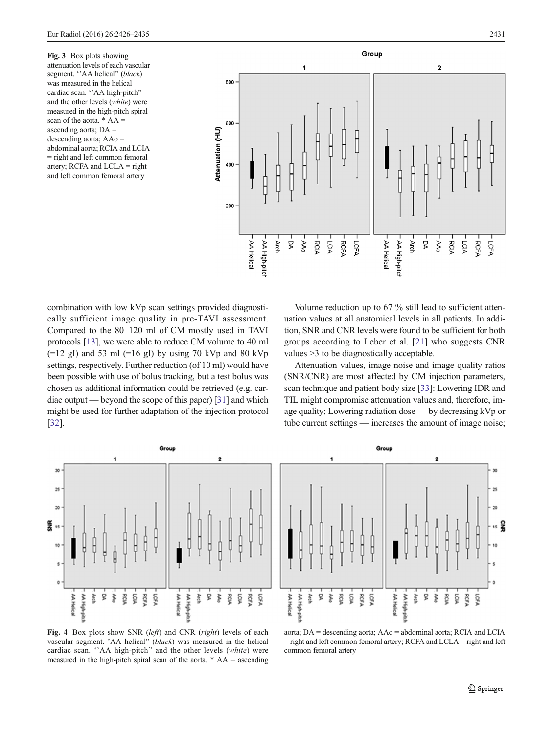<span id="page-5-0"></span>Fig. 3 Box plots showing attenuation levels of each vascular segment. "AA helical" (black) was measured in the helical cardiac scan. "AA high-pitch" and the other levels (white) were measured in the high-pitch spiral scan of the aorta. \* AA = ascending aorta; DA = descending aorta; AAo = abdominal aorta; RCIA and LCIA = right and left common femoral artery; RCFA and LCLA = right and left common femoral artery



combination with low kVp scan settings provided diagnostically sufficient image quality in pre-TAVI assessment. Compared to the 80–120 ml of CM mostly used in TAVI protocols [\[13\]](#page-8-0), we were able to reduce CM volume to 40 ml  $(=12 \text{ gI})$  and 53 ml  $(=16 \text{ gI})$  by using 70 kVp and 80 kVp settings, respectively. Further reduction (of 10 ml) would have been possible with use of bolus tracking, but a test bolus was chosen as additional information could be retrieved (e.g. cardiac output — beyond the scope of this paper) [[31\]](#page-9-0) and which might be used for further adaptation of the injection protocol [\[32\]](#page-9-0).



Fig. 4 Box plots show SNR (left) and CNR (right) levels of each vascular segment. 'AA helical" (black) was measured in the helical cardiac scan. "AA high-pitch" and the other levels (white) were measured in the high-pitch spiral scan of the aorta.  $*$  AA = ascending

Volume reduction up to 67 % still lead to sufficient attenuation values at all anatomical levels in all patients. In addition, SNR and CNR levels were found to be sufficient for both groups according to Leber et al. [\[21](#page-9-0)] who suggests CNR values >3 to be diagnostically acceptable.

Attenuation values, image noise and image quality ratios (SNR/CNR) are most affected by CM injection parameters, scan technique and patient body size [\[33\]](#page-9-0): Lowering IDR and TIL might compromise attenuation values and, therefore, image quality; Lowering radiation dose — by decreasing kVp or tube current settings — increases the amount of image noise;



aorta; DA = descending aorta; AAo = abdominal aorta; RCIA and LCIA = right and left common femoral artery; RCFA and LCLA = right and left common femoral artery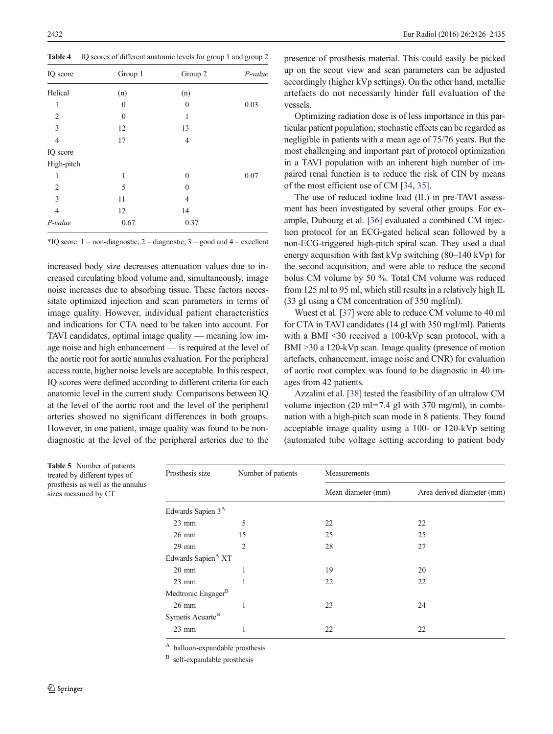<span id="page-6-0"></span>Table 4 IQ scores of different anatomic levels for group 1 and group 2

| IQ score       | Group 1          | Group 2        | P-value |
|----------------|------------------|----------------|---------|
| Helical        | (n)              | (n)            |         |
| 1              | $\mathbf{0}$     | $\theta$       | 0.03    |
| 2              | $\boldsymbol{0}$ | 1              |         |
| 3              | 12               | 13             |         |
| $\overline{4}$ | 17               | $\overline{4}$ |         |
| IQ score       |                  |                |         |
| High-pitch     |                  |                |         |
| 1              | 1                | $\mathbf{0}$   | 0.07    |
| $\overline{2}$ | 5                | $\theta$       |         |
| 3              | 11               | $\overline{4}$ |         |
| $\overline{4}$ | 12               | 14             |         |
| $P$ -value     | 0.67             | 0.37           |         |

\*IQ score:  $1 =$ non-diagnostic;  $2 =$ diagnostic;  $3 =$ good and  $4 =$ excellent

increased body size decreases attenuation values due to increased circulating blood volume and, simultaneously, image noise increases due to absorbing tissue. These factors necessitate optimized injection and scan parameters in terms of image quality. However, individual patient characteristics and indications for CTA need to be taken into account. For TAVI candidates, optimal image quality — meaning low image noise and high enhancement — is required at the level of the aortic root for aortic annulus evaluation. For the peripheral access route, higher noise levels are acceptable. In this respect, IQ scores were defined according to different criteria for each anatomic level in the current study. Comparisons between IQ at the level of the aortic root and the level of the peripheral arteries showed no significant differences in both groups. However, in one patient, image quality was found to be nondiagnostic at the level of the peripheral arteries due to the presence of prosthesis material. This could easily be picked up on the scout view and scan parameters can be adjusted accordingly (higher kVp settings). On the other hand, metallic artefacts do not necessarily hinder full evaluation of the vessels.

Optimizing radiation dose is of less importance in this particular patient population; stochastic effects can be regarded as negligible in patients with a mean age of 75/76 years. But the most challenging and important part of protocol optimization in a TAVI population with an inherent high number of impaired renal function is to reduce the risk of CIN by means of the most efficient use of CM [[34](#page-9-0), [35](#page-9-0)].

The use of reduced iodine load (IL) in pre-TAVI assessment has been investigated by several other groups. For example, Dubourg et al. [[36\]](#page-9-0) evaluated a combined CM injection protocol for an ECG-gated helical scan followed by a non-ECG-triggered high-pitch spiral scan. They used a dual energy acquisition with fast kVp switching (80–140 kVp) for the second acquisition, and were able to reduce the second bolus CM volume by 50 %. Total CM volume was reduced from 125 ml to 95 ml, which still results in a relatively high IL (33 gI using a CM concentration of 350 mgI/ml).

Wuest et al. [[37\]](#page-9-0) were able to reduce CM volume to 40 ml for CTA in TAVI candidates (14 gI with 350 mgI/ml). Patients with a BMI <30 received a 100-kVp scan protocol, with a BMI >30 a 120-kVp scan. Image quality (presence of motion artefacts, enhancement, image noise and CNR) for evaluation of aortic root complex was found to be diagnostic in 40 images from 42 patients.

Azzalini et al. [[38\]](#page-9-0) tested the feasibility of an ultralow CM volume injection (20 ml=7.4 gI with 370 mg/ml), in combination with a high-pitch scan mode in 8 patients. They found acceptable image quality using a 100- or 120-kVp setting (automated tube voltage setting according to patient body

| Prosthesis size                | Number of patients | Measurements       |                            |
|--------------------------------|--------------------|--------------------|----------------------------|
|                                |                    | Mean diameter (mm) | Area derived diameter (mm) |
| Edwards Sapien 3 <sup>A</sup>  |                    |                    |                            |
| $23 \text{ mm}$                | 5                  | 22                 | 22                         |
| $26 \text{ mm}$                | 15                 | 25                 | 25                         |
| $29$ mm                        | $\overline{2}$     | 28                 | 27                         |
| Edwards Sapien <sup>A</sup> XT |                    |                    |                            |
| $20 \text{ mm}$                | 1                  | 19                 | 20                         |
| $23 \text{ mm}$                |                    | 22                 | 22                         |
| Medtronic Engager <sup>B</sup> |                    |                    |                            |
| $26 \text{ mm}$                |                    | 23                 | 24                         |
| Symetis Acuarte <sup>B</sup>   |                    |                    |                            |
| $23$ mm                        |                    | 22                 | 22                         |
|                                |                    |                    |                            |

<sup>A</sup> balloon-expandable prosthesis

<sup>B</sup> self-expandable prosthesis

Table 5 Number of patients treated by different types of prosthesis as well as the annulus sizes measured by CT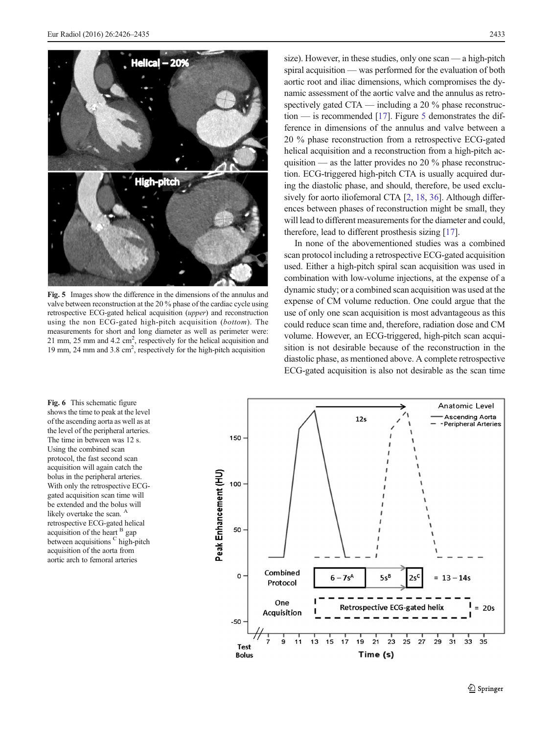<span id="page-7-0"></span>

Fig. 5 Images show the difference in the dimensions of the annulus and valve between reconstruction at the 20 % phase of the cardiac cycle using retrospective ECG-gated helical acquisition (upper) and reconstruction using the non ECG-gated high-pitch acquisition (bottom). The measurements for short and long diameter as well as perimeter were: 21 mm, 25 mm and 4.2  $\text{cm}^2$ , respectively for the helical acquisition and 19 mm, 24 mm and 3.8 cm<sup>2</sup>, respectively for the high-pitch acquisition

size). However, in these studies, only one scan — a high-pitch spiral acquisition — was performed for the evaluation of both aortic root and iliac dimensions, which compromises the dynamic assessment of the aortic valve and the annulus as retrospectively gated CTA — including a 20 % phase reconstruction — is recommended [\[17](#page-9-0)]. Figure 5 demonstrates the difference in dimensions of the annulus and valve between a 20 % phase reconstruction from a retrospective ECG-gated helical acquisition and a reconstruction from a high-pitch acquisition — as the latter provides no 20 % phase reconstruction. ECG-triggered high-pitch CTA is usually acquired during the diastolic phase, and should, therefore, be used exclusively for aorto iliofemoral CTA [[2,](#page-8-0) [18,](#page-9-0) [36\]](#page-9-0). Although differences between phases of reconstruction might be small, they will lead to different measurements for the diameter and could, therefore, lead to different prosthesis sizing [\[17\]](#page-9-0).

In none of the abovementioned studies was a combined scan protocol including a retrospective ECG-gated acquisition used. Either a high-pitch spiral scan acquisition was used in combination with low-volume injections, at the expense of a dynamic study; or a combined scan acquisition was used at the expense of CM volume reduction. One could argue that the use of only one scan acquisition is most advantageous as this could reduce scan time and, therefore, radiation dose and CM volume. However, an ECG-triggered, high-pitch scan acquisition is not desirable because of the reconstruction in the diastolic phase, as mentioned above. A complete retrospective ECG-gated acquisition is also not desirable as the scan time

Fig. 6 This schematic figure shows the time to peak at the level of the ascending aorta as well as at the level of the peripheral arteries. The time in between was 12 s. Using the combined scan protocol, the fast second scan acquisition will again catch the bolus in the peripheral arteries. With only the retrospective ECGgated acquisition scan time will be extended and the bolus will likely overtake the scan.  $\beta$ retrospective ECG-gated helical acquisition of the heart <sup>B</sup> gap between acquisitions <sup>C</sup> high-pitch acquisition of the aorta from aortic arch to femoral arteries

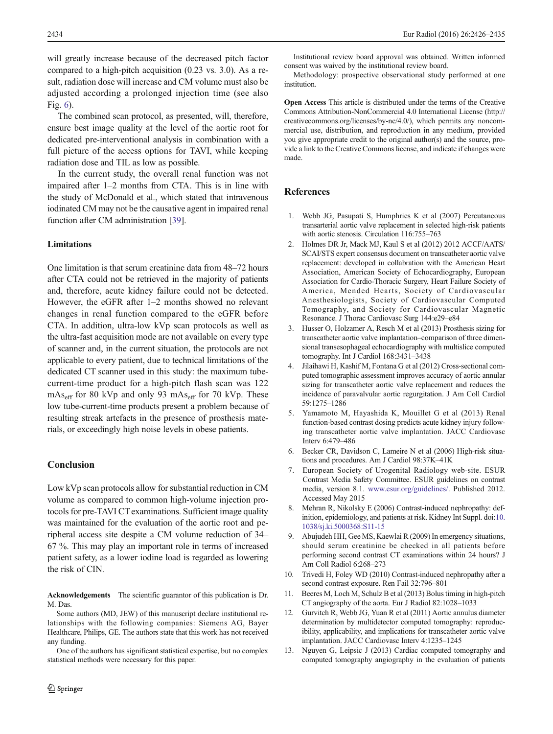<span id="page-8-0"></span>will greatly increase because of the decreased pitch factor compared to a high-pitch acquisition (0.23 vs. 3.0). As a result, radiation dose will increase and CM volume must also be adjusted according a prolonged injection time (see also Fig. [6\)](#page-7-0).

The combined scan protocol, as presented, will, therefore, ensure best image quality at the level of the aortic root for dedicated pre-interventional analysis in combination with a full picture of the access options for TAVI, while keeping radiation dose and TIL as low as possible.

In the current study, the overall renal function was not impaired after 1–2 months from CTA. This is in line with the study of McDonald et al., which stated that intravenous iodinated CM may not be the causative agent in impaired renal function after CM administration [\[39](#page-9-0)].

# Limitations

One limitation is that serum creatinine data from 48–72 hours after CTA could not be retrieved in the majority of patients and, therefore, acute kidney failure could not be detected. However, the eGFR after 1–2 months showed no relevant changes in renal function compared to the eGFR before CTA. In addition, ultra-low kVp scan protocols as well as the ultra-fast acquisition mode are not available on every type of scanner and, in the current situation, the protocols are not applicable to every patient, due to technical limitations of the dedicated CT scanner used in this study: the maximum tubecurrent-time product for a high-pitch flash scan was 122  $mAs<sub>eff</sub>$  for 80 kVp and only 93 mAs<sub>eff</sub> for 70 kVp. These low tube-current-time products present a problem because of resulting streak artefacts in the presence of prosthesis materials, or exceedingly high noise levels in obese patients.

# Conclusion

Low kVp scan protocols allow for substantial reduction in CM volume as compared to common high-volume injection protocols for pre-TAVI CT examinations. Sufficient image quality was maintained for the evaluation of the aortic root and peripheral access site despite a CM volume reduction of 34– 67 %. This may play an important role in terms of increased patient safety, as a lower iodine load is regarded as lowering the risk of CIN.

Acknowledgements The scientific guarantor of this publication is Dr. M. Das.

Some authors (MD, JEW) of this manuscript declare institutional relationships with the following companies: Siemens AG, Bayer Healthcare, Philips, GE. The authors state that this work has not received any funding.

One of the authors has significant statistical expertise, but no complex statistical methods were necessary for this paper.

Institutional review board approval was obtained. Written informed consent was waived by the institutional review board.

Methodology: prospective observational study performed at one institution.

Open Access This article is distributed under the terms of the Creative Commons Attribution-NonCommercial 4.0 International License ([http://](http://creativecommons.org/licenses/by-nc/4.0/) [creativecommons.org/licenses/by-nc/4.0/\), which permits any noncom](http://creativecommons.org/licenses/by-nc/4.0/)[mercial use, distribution, and reproduction in any medium, provided](http://creativecommons.org/licenses/by-nc/4.0/) [you give appropriate credit to the original author\(s\) and the source, pro](http://creativecommons.org/licenses/by-nc/4.0/)[vide a link to the Creative Commons license, and indicate if changes were](http://creativecommons.org/licenses/by-nc/4.0/) [made.](http://creativecommons.org/licenses/by-nc/4.0/)

# References

- 1. Webb JG, Pasupati S, Humphries K et al (2007) Percutaneous transarterial aortic valve replacement in selected high-risk patients with aortic stenosis. Circulation 116:755–763
- 2. Holmes DR Jr, Mack MJ, Kaul S et al (2012) 2012 ACCF/AATS/ SCAI/STS expert consensus document on transcatheter aortic valve replacement: developed in collabration with the American Heart Association, American Society of Echocardiography, European Association for Cardio-Thoracic Surgery, Heart Failure Society of America, Mended Hearts, Society of Cardiovascular Anesthesiologists, Society of Cardiovascular Computed Tomography, and Society for Cardiovascular Magnetic Resonance. J Thorac Cardiovasc Surg 144:e29–e84
- 3. Husser O, Holzamer A, Resch M et al (2013) Prosthesis sizing for transcatheter aortic valve implantation–comparison of three dimensional transesophageal echocardiography with multislice computed tomography. Int J Cardiol 168:3431–3438
- 4. Jilaihawi H, Kashif M, Fontana G et al (2012) Cross-sectional computed tomographic assessment improves accuracy of aortic annular sizing for transcatheter aortic valve replacement and reduces the incidence of paravalvular aortic regurgitation. J Am Coll Cardiol 59:1275–1286
- 5. Yamamoto M, Hayashida K, Mouillet G et al (2013) Renal function-based contrast dosing predicts acute kidney injury following transcatheter aortic valve implantation. JACC Cardiovasc Interv 6:479–486
- 6. Becker CR, Davidson C, Lameire N et al (2006) High-risk situations and procedures. Am J Cardiol 98:37K–41K
- 7. European Society of Urogenital Radiology web-site. ESUR Contrast Media Safety Committee. ESUR guidelines on contrast media, version 8.1. [www.esur.org/guidelines/.](http://www.esur.org/guidelines/) Published 2012. Accessed May 2015
- 8. Mehran R, Nikolsky E (2006) Contrast-induced nephropathy: definition, epidemiology, and patients at risk. Kidney Int Suppl. doi[:10.](http://dx.doi.org/10.1038/sj.ki.5000368:S11-15) [1038/sj.ki.5000368:S11-15](http://dx.doi.org/10.1038/sj.ki.5000368:S11-15)
- 9. Abujudeh HH, Gee MS, Kaewlai R (2009) In emergency situations, should serum creatinine be checked in all patients before performing second contrast CT examinations within 24 hours? J Am Coll Radiol 6:268–273
- 10. Trivedi H, Foley WD (2010) Contrast-induced nephropathy after a second contrast exposure. Ren Fail 32:796–801
- 11. Beeres M, Loch M, Schulz B et al (2013) Bolus timing in high-pitch CT angiography of the aorta. Eur J Radiol 82:1028–1033
- 12. Gurvitch R, Webb JG, Yuan R et al (2011) Aortic annulus diameter determination by multidetector computed tomography: reproducibility, applicability, and implications for transcatheter aortic valve implantation. JACC Cardiovasc Interv 4:1235–1245
- 13. Nguyen G, Leipsic J (2013) Cardiac computed tomography and computed tomography angiography in the evaluation of patients